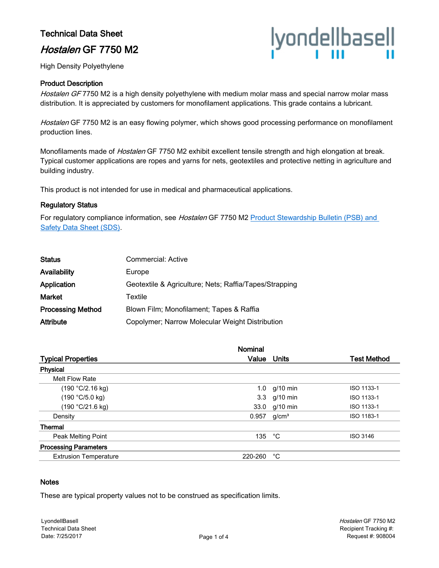# Technical Data Sheet

# Hostalen GF 7750 M2



High Density Polyethylene

#### Product Description

Hostalen GF 7750 M2 is a high density polyethylene with medium molar mass and special narrow molar mass distribution. It is appreciated by customers for monofilament applications. This grade contains a lubricant.

Hostalen GF 7750 M2 is an easy flowing polymer, which shows good processing performance on monofilament production lines.

Monofilaments made of *Hostalen* GF 7750 M2 exhibit excellent tensile strength and high elongation at break. Typical customer applications are ropes and yarns for nets, geotextiles and protective netting in agriculture and building industry.

This product is not intended for use in medical and pharmaceutical applications.

#### Regulatory Status

For regulatory compliance information, see *Hostalen* GF 7750 M2 Product Stewardship Bulletin (PSB) and [Safety Data Sheet \(SDS\).](https://productsafety.lyondellbasell.com/ByProductID/883a4e49-76a1-4cf1-b7fc-1dfab366db2a)

| <b>Commercial: Active</b>                              |
|--------------------------------------------------------|
| Europe                                                 |
| Geotextile & Agriculture; Nets; Raffia/Tapes/Strapping |
| Textile                                                |
| Blown Film; Monofilament; Tapes & Raffia               |
| Copolymer; Narrow Molecular Weight Distribution        |
|                                                        |

| Nominal |                   |                                                        |
|---------|-------------------|--------------------------------------------------------|
| Value   | Units             | <b>Test Method</b>                                     |
|         |                   |                                                        |
|         |                   |                                                        |
|         |                   | ISO 1133-1                                             |
|         |                   | ISO 1133-1                                             |
|         |                   | ISO 1133-1                                             |
| 0.957   | g/cm <sup>3</sup> | ISO 1183-1                                             |
|         |                   |                                                        |
|         | °С                | <b>ISO 3146</b>                                        |
|         |                   |                                                        |
| 220-260 | °С                |                                                        |
|         |                   | 1.0 $g/10$ min<br>3.3 g/10 min<br>33.0 g/10 min<br>135 |

#### **Notes**

These are typical property values not to be construed as specification limits.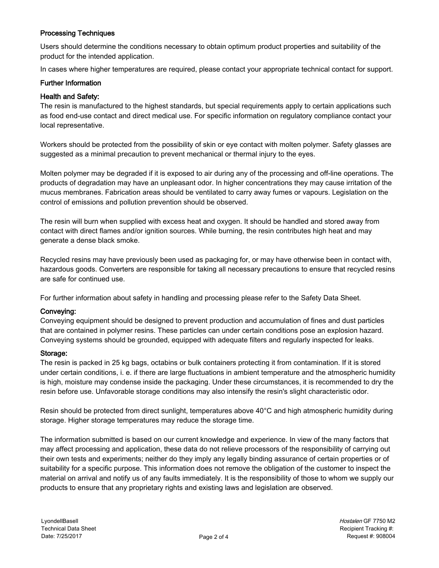## Processing Techniques

Users should determine the conditions necessary to obtain optimum product properties and suitability of the product for the intended application.

In cases where higher temperatures are required, please contact your appropriate technical contact for support.

#### Further Information

#### Health and Safety:

The resin is manufactured to the highest standards, but special requirements apply to certain applications such as food end-use contact and direct medical use. For specific information on regulatory compliance contact your local representative.

Workers should be protected from the possibility of skin or eye contact with molten polymer. Safety glasses are suggested as a minimal precaution to prevent mechanical or thermal injury to the eyes.

Molten polymer may be degraded if it is exposed to air during any of the processing and off-line operations. The products of degradation may have an unpleasant odor. In higher concentrations they may cause irritation of the mucus membranes. Fabrication areas should be ventilated to carry away fumes or vapours. Legislation on the control of emissions and pollution prevention should be observed.

The resin will burn when supplied with excess heat and oxygen. It should be handled and stored away from contact with direct flames and/or ignition sources. While burning, the resin contributes high heat and may generate a dense black smoke.

Recycled resins may have previously been used as packaging for, or may have otherwise been in contact with, hazardous goods. Converters are responsible for taking all necessary precautions to ensure that recycled resins are safe for continued use.

For further information about safety in handling and processing please refer to the Safety Data Sheet.

#### Conveying:

Conveying equipment should be designed to prevent production and accumulation of fines and dust particles that are contained in polymer resins. These particles can under certain conditions pose an explosion hazard. Conveying systems should be grounded, equipped with adequate filters and regularly inspected for leaks.

#### Storage:

The resin is packed in 25 kg bags, octabins or bulk containers protecting it from contamination. If it is stored under certain conditions, i. e. if there are large fluctuations in ambient temperature and the atmospheric humidity is high, moisture may condense inside the packaging. Under these circumstances, it is recommended to dry the resin before use. Unfavorable storage conditions may also intensify the resin's slight characteristic odor.

Resin should be protected from direct sunlight, temperatures above 40°C and high atmospheric humidity during storage. Higher storage temperatures may reduce the storage time.

The information submitted is based on our current knowledge and experience. In view of the many factors that may affect processing and application, these data do not relieve processors of the responsibility of carrying out their own tests and experiments; neither do they imply any legally binding assurance of certain properties or of suitability for a specific purpose. This information does not remove the obligation of the customer to inspect the material on arrival and notify us of any faults immediately. It is the responsibility of those to whom we supply our products to ensure that any proprietary rights and existing laws and legislation are observed.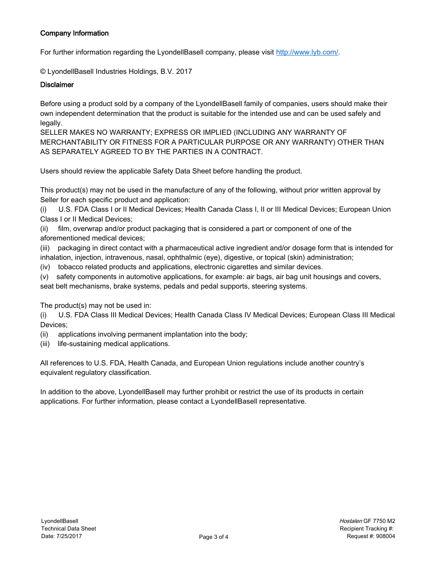# Company Information

For further information regarding the LyondellBasell company, please visit [http://www.lyb.com/.](http://www.lyb.com/)

© LyondellBasell Industries Holdings, B.V. 2017

#### **Disclaimer**

Before using a product sold by a company of the LyondellBasell family of companies, users should make their own independent determination that the product is suitable for the intended use and can be used safely and legally.

SELLER MAKES NO WARRANTY; EXPRESS OR IMPLIED (INCLUDING ANY WARRANTY OF MERCHANTABILITY OR FITNESS FOR A PARTICULAR PURPOSE OR ANY WARRANTY) OTHER THAN AS SEPARATELY AGREED TO BY THE PARTIES IN A CONTRACT.

Users should review the applicable Safety Data Sheet before handling the product.

This product(s) may not be used in the manufacture of any of the following, without prior written approval by Seller for each specific product and application:

(i) U.S. FDA Class I or II Medical Devices; Health Canada Class I, II or III Medical Devices; European Union Class I or II Medical Devices;

(ii) film, overwrap and/or product packaging that is considered a part or component of one of the aforementioned medical devices;

(iii) packaging in direct contact with a pharmaceutical active ingredient and/or dosage form that is intended for inhalation, injection, intravenous, nasal, ophthalmic (eye), digestive, or topical (skin) administration;

(iv) tobacco related products and applications, electronic cigarettes and similar devices.

(v) safety components in automotive applications, for example: air bags, air bag unit housings and covers, seat belt mechanisms, brake systems, pedals and pedal supports, steering systems.

The product(s) may not be used in:

(i) U.S. FDA Class III Medical Devices; Health Canada Class IV Medical Devices; European Class III Medical Devices;

- (ii) applications involving permanent implantation into the body;
- (iii) life-sustaining medical applications.

All references to U.S. FDA, Health Canada, and European Union regulations include another country's equivalent regulatory classification.

In addition to the above, LyondellBasell may further prohibit or restrict the use of its products in certain applications. For further information, please contact a LyondellBasell representative.